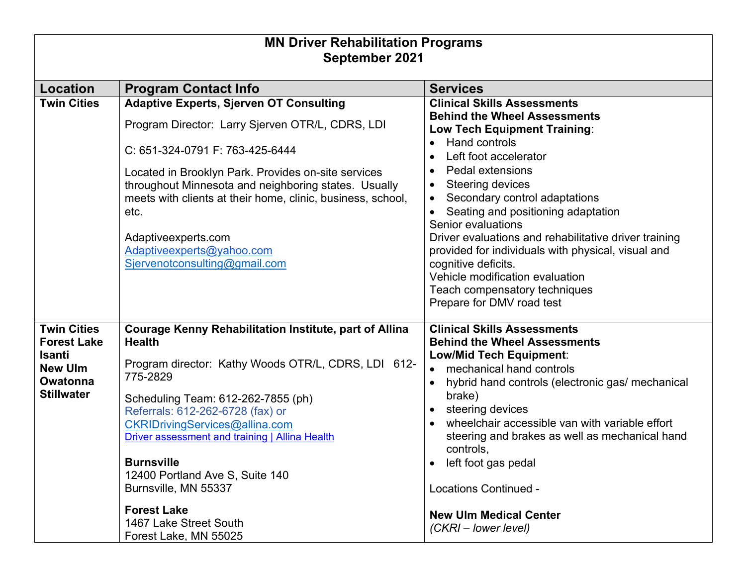| <b>MN Driver Rehabilitation Programs</b>                                                                            |                                                                                                                                                                                                                                                                                                                                                                                                                                                                          |                                                                                                                                                                                                                                                                                                                                                                                                                                                                                                                                              |  |  |
|---------------------------------------------------------------------------------------------------------------------|--------------------------------------------------------------------------------------------------------------------------------------------------------------------------------------------------------------------------------------------------------------------------------------------------------------------------------------------------------------------------------------------------------------------------------------------------------------------------|----------------------------------------------------------------------------------------------------------------------------------------------------------------------------------------------------------------------------------------------------------------------------------------------------------------------------------------------------------------------------------------------------------------------------------------------------------------------------------------------------------------------------------------------|--|--|
| September 2021                                                                                                      |                                                                                                                                                                                                                                                                                                                                                                                                                                                                          |                                                                                                                                                                                                                                                                                                                                                                                                                                                                                                                                              |  |  |
| <b>Location</b>                                                                                                     | <b>Program Contact Info</b>                                                                                                                                                                                                                                                                                                                                                                                                                                              | <b>Services</b>                                                                                                                                                                                                                                                                                                                                                                                                                                                                                                                              |  |  |
| <b>Twin Cities</b>                                                                                                  | <b>Adaptive Experts, Sjerven OT Consulting</b><br>Program Director: Larry Sjerven OTR/L, CDRS, LDI<br>C: 651-324-0791 F: 763-425-6444<br>Located in Brooklyn Park. Provides on-site services<br>throughout Minnesota and neighboring states. Usually<br>meets with clients at their home, clinic, business, school,<br>etc.<br>Adaptiveexperts.com<br>Adaptiveexperts@yahoo.com<br>Sjervenotconsulting@gmail.com                                                         | <b>Clinical Skills Assessments</b><br><b>Behind the Wheel Assessments</b><br>Low Tech Equipment Training:<br>Hand controls<br>$\bullet$<br>Left foot accelerator<br>Pedal extensions<br>Steering devices<br>Secondary control adaptations<br>Seating and positioning adaptation<br>Senior evaluations<br>Driver evaluations and rehabilitative driver training<br>provided for individuals with physical, visual and<br>cognitive deficits.<br>Vehicle modification evaluation<br>Teach compensatory techniques<br>Prepare for DMV road test |  |  |
| <b>Twin Cities</b><br><b>Forest Lake</b><br><b>Isanti</b><br><b>New Ulm</b><br><b>Owatonna</b><br><b>Stillwater</b> | <b>Courage Kenny Rehabilitation Institute, part of Allina</b><br><b>Health</b><br>Program director: Kathy Woods OTR/L, CDRS, LDI 612-<br>775-2829<br>Scheduling Team: 612-262-7855 (ph)<br>Referrals: 612-262-6728 (fax) or<br>CKRIDrivingServices@allina.com<br>Driver assessment and training   Allina Health<br><b>Burnsville</b><br>12400 Portland Ave S, Suite 140<br>Burnsville, MN 55337<br><b>Forest Lake</b><br>1467 Lake Street South<br>Forest Lake, MN 55025 | <b>Clinical Skills Assessments</b><br><b>Behind the Wheel Assessments</b><br><b>Low/Mid Tech Equipment:</b><br>• mechanical hand controls<br>hybrid hand controls (electronic gas/ mechanical<br>brake)<br>steering devices<br>wheelchair accessible van with variable effort<br>steering and brakes as well as mechanical hand<br>controls,<br>left foot gas pedal<br>$\bullet$<br><b>Locations Continued -</b><br><b>New Ulm Medical Center</b><br>(CKRI – lower level)                                                                    |  |  |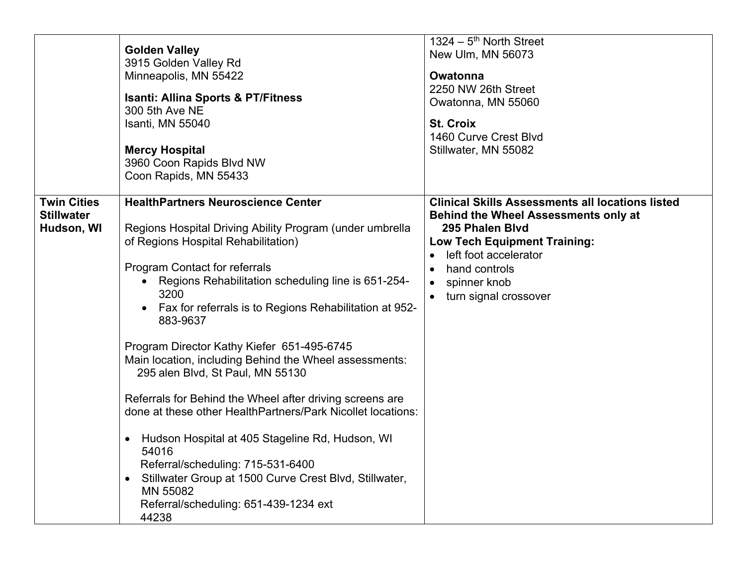|                                                       | <b>Golden Valley</b><br>3915 Golden Valley Rd<br>Minneapolis, MN 55422<br><b>Isanti: Allina Sports &amp; PT/Fitness</b><br>300 5th Ave NE<br>Isanti, MN 55040<br><b>Mercy Hospital</b><br>3960 Coon Rapids Blvd NW<br>Coon Rapids, MN 55433                                                                                                                                                                                                                                                                                                                                                                                                                                                                                                                                                                                                                           | $1324 - 5$ <sup>th</sup> North Street<br>New Ulm, MN 56073<br><b>Owatonna</b><br>2250 NW 26th Street<br>Owatonna, MN 55060<br><b>St. Croix</b><br>1460 Curve Crest Blvd<br>Stillwater, MN 55082                                                     |
|-------------------------------------------------------|-----------------------------------------------------------------------------------------------------------------------------------------------------------------------------------------------------------------------------------------------------------------------------------------------------------------------------------------------------------------------------------------------------------------------------------------------------------------------------------------------------------------------------------------------------------------------------------------------------------------------------------------------------------------------------------------------------------------------------------------------------------------------------------------------------------------------------------------------------------------------|-----------------------------------------------------------------------------------------------------------------------------------------------------------------------------------------------------------------------------------------------------|
| <b>Twin Cities</b><br><b>Stillwater</b><br>Hudson, WI | <b>HealthPartners Neuroscience Center</b><br>Regions Hospital Driving Ability Program (under umbrella<br>of Regions Hospital Rehabilitation)<br>Program Contact for referrals<br>Regions Rehabilitation scheduling line is 651-254-<br>$\bullet$<br>3200<br>Fax for referrals is to Regions Rehabilitation at 952-<br>$\bullet$<br>883-9637<br>Program Director Kathy Kiefer 651-495-6745<br>Main location, including Behind the Wheel assessments:<br>295 alen Blvd, St Paul, MN 55130<br>Referrals for Behind the Wheel after driving screens are<br>done at these other HealthPartners/Park Nicollet locations:<br>Hudson Hospital at 405 Stageline Rd, Hudson, WI<br>$\bullet$<br>54016<br>Referral/scheduling: 715-531-6400<br>Stillwater Group at 1500 Curve Crest Blvd, Stillwater,<br>$\bullet$<br>MN 55082<br>Referral/scheduling: 651-439-1234 ext<br>44238 | <b>Clinical Skills Assessments all locations listed</b><br><b>Behind the Wheel Assessments only at</b><br>295 Phalen Blvd<br><b>Low Tech Equipment Training:</b><br>left foot accelerator<br>hand controls<br>spinner knob<br>turn signal crossover |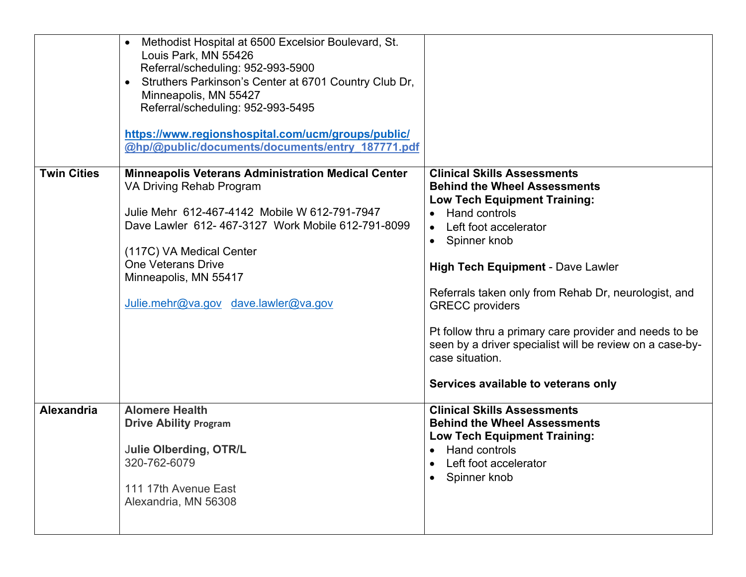|                    | Methodist Hospital at 6500 Excelsior Boulevard, St.<br>Louis Park, MN 55426<br>Referral/scheduling: 952-993-5900<br>Struthers Parkinson's Center at 6701 Country Club Dr,<br>Minneapolis, MN 55427<br>Referral/scheduling: 952-993-5495<br>https://www.regionshospital.com/ucm/groups/public/<br>@hp/@public/documents/documents/entry 187771.pdf |                                                                                                                                                                                                                                                                                                                                                                                                                                                                                              |
|--------------------|---------------------------------------------------------------------------------------------------------------------------------------------------------------------------------------------------------------------------------------------------------------------------------------------------------------------------------------------------|----------------------------------------------------------------------------------------------------------------------------------------------------------------------------------------------------------------------------------------------------------------------------------------------------------------------------------------------------------------------------------------------------------------------------------------------------------------------------------------------|
| <b>Twin Cities</b> | <b>Minneapolis Veterans Administration Medical Center</b><br>VA Driving Rehab Program<br>Julie Mehr 612-467-4142 Mobile W 612-791-7947<br>Dave Lawler 612-467-3127 Work Mobile 612-791-8099<br>(117C) VA Medical Center<br><b>One Veterans Drive</b><br>Minneapolis, MN 55417<br>Julie.mehr@va.gov dave.lawler@va.gov                             | <b>Clinical Skills Assessments</b><br><b>Behind the Wheel Assessments</b><br><b>Low Tech Equipment Training:</b><br>• Hand controls<br>Left foot accelerator<br>• Spinner knob<br><b>High Tech Equipment - Dave Lawler</b><br>Referrals taken only from Rehab Dr, neurologist, and<br><b>GRECC</b> providers<br>Pt follow thru a primary care provider and needs to be<br>seen by a driver specialist will be review on a case-by-<br>case situation.<br>Services available to veterans only |
| <b>Alexandria</b>  | <b>Alomere Health</b><br><b>Drive Ability Program</b><br><b>Julie Olberding, OTR/L</b><br>320-762-6079<br>111 17th Avenue East<br>Alexandria, MN 56308                                                                                                                                                                                            | <b>Clinical Skills Assessments</b><br><b>Behind the Wheel Assessments</b><br><b>Low Tech Equipment Training:</b><br>• Hand controls<br>Left foot accelerator<br>Spinner knob                                                                                                                                                                                                                                                                                                                 |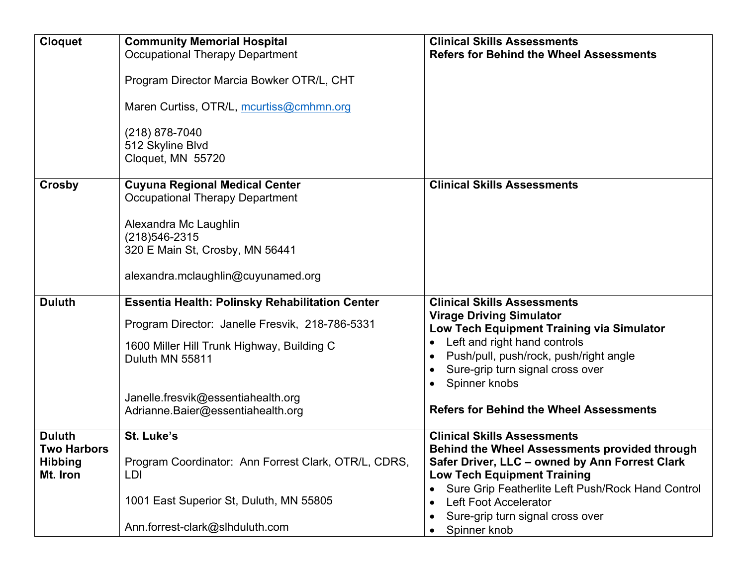| <b>Cloquet</b>                                                    | <b>Community Memorial Hospital</b><br><b>Occupational Therapy Department</b><br>Program Director Marcia Bowker OTR/L, CHT<br>Maren Curtiss, OTR/L, mcurtiss@cmhmn.org<br>(218) 878-7040                                                               | <b>Clinical Skills Assessments</b><br><b>Refers for Behind the Wheel Assessments</b>                                                                                                                                                                                                                                 |
|-------------------------------------------------------------------|-------------------------------------------------------------------------------------------------------------------------------------------------------------------------------------------------------------------------------------------------------|----------------------------------------------------------------------------------------------------------------------------------------------------------------------------------------------------------------------------------------------------------------------------------------------------------------------|
|                                                                   | 512 Skyline Blvd<br>Cloquet, MN 55720                                                                                                                                                                                                                 |                                                                                                                                                                                                                                                                                                                      |
| Crosby                                                            | <b>Cuyuna Regional Medical Center</b><br><b>Occupational Therapy Department</b><br>Alexandra Mc Laughlin<br>(218) 546-2315<br>320 E Main St, Crosby, MN 56441<br>alexandra.mclaughlin@cuyunamed.org                                                   | <b>Clinical Skills Assessments</b>                                                                                                                                                                                                                                                                                   |
| <b>Duluth</b>                                                     | <b>Essentia Health: Polinsky Rehabilitation Center</b><br>Program Director: Janelle Fresvik, 218-786-5331<br>1600 Miller Hill Trunk Highway, Building C<br>Duluth MN 55811<br>Janelle.fresvik@essentiahealth.org<br>Adrianne.Baier@essentiahealth.org | <b>Clinical Skills Assessments</b><br><b>Virage Driving Simulator</b><br>Low Tech Equipment Training via Simulator<br>Left and right hand controls<br>$\bullet$<br>Push/pull, push/rock, push/right angle<br>Sure-grip turn signal cross over<br>Spinner knobs<br><b>Refers for Behind the Wheel Assessments</b>     |
| <b>Duluth</b><br><b>Two Harbors</b><br><b>Hibbing</b><br>Mt. Iron | St. Luke's<br>Program Coordinator: Ann Forrest Clark, OTR/L, CDRS,<br>LDI<br>1001 East Superior St, Duluth, MN 55805<br>Ann.forrest-clark@slhduluth.com                                                                                               | <b>Clinical Skills Assessments</b><br><b>Behind the Wheel Assessments provided through</b><br>Safer Driver, LLC - owned by Ann Forrest Clark<br><b>Low Tech Equipment Training</b><br>Sure Grip Featherlite Left Push/Rock Hand Control<br>Left Foot Accelerator<br>Sure-grip turn signal cross over<br>Spinner knob |